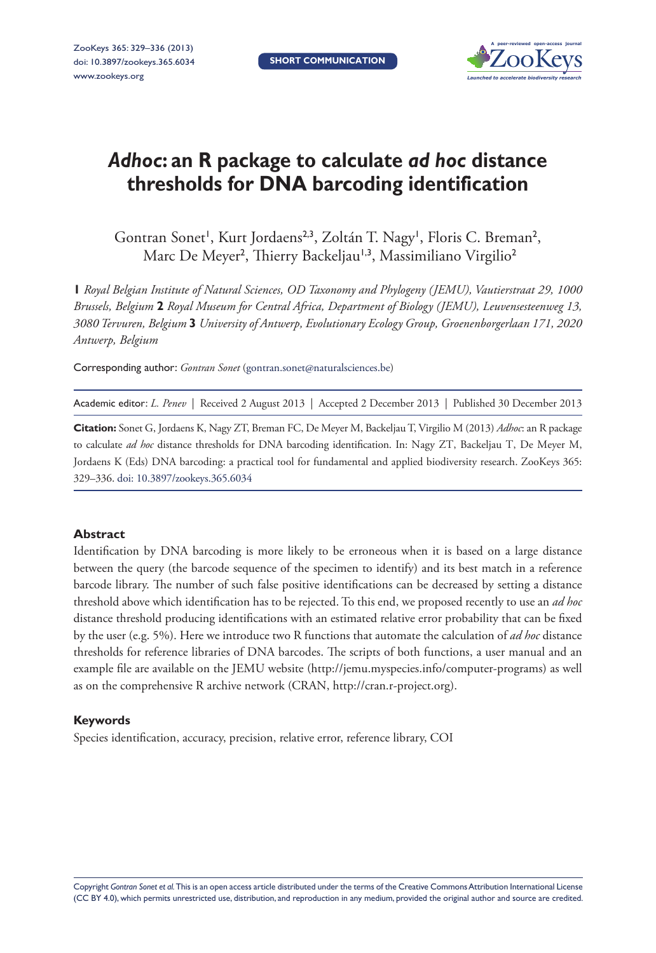

# *Adhoc***: an R package to calculate** *ad hoc* **distance thresholds for DNA barcoding identification**

Gontran Sonet<sup>1</sup>, Kurt Jordaens<sup>2,3</sup>, Zoltán T. Nagy<sup>1</sup>, Floris C. Breman<sup>2</sup>, Marc De Meyer<sup>2</sup>, Thierry Backeljau<sup>1,3</sup>, Massimiliano Virgilio<sup>2</sup>

**1** *Royal Belgian Institute of Natural Sciences, OD Taxonomy and Phylogeny (JEMU), Vautierstraat 29, 1000 Brussels, Belgium* **2** *Royal Museum for Central Africa, Department of Biology (JEMU), Leuvensesteenweg 13, 3080 Tervuren, Belgium* **3** *University of Antwerp, Evolutionary Ecology Group, Groenenborgerlaan 171, 2020 Antwerp, Belgium*

Corresponding author: *Gontran Sonet* ([gontran.sonet@naturalsciences.be](mailto:gontran.sonet@naturalsciences.be))

Academic editor: *L. Penev* | Received 2 August 2013 | Accepted 2 December 2013 | Published 30 December 2013

**Citation:** Sonet G, Jordaens K, Nagy ZT, Breman FC, De Meyer M, Backeljau T, Virgilio M (2013) *Adhoc*: an R package to calculate *ad hoc* distance thresholds for DNA barcoding identification. In: Nagy ZT, Backeljau T, De Meyer M, Jordaens K (Eds) DNA barcoding: a practical tool for fundamental and applied biodiversity research. ZooKeys 365: 329–336. [doi: 10.3897/zookeys.365.6034](http://dx.doi.org/10.3897/zookeys.365.6034)

#### **Abstract**

Identification by DNA barcoding is more likely to be erroneous when it is based on a large distance between the query (the barcode sequence of the specimen to identify) and its best match in a reference barcode library. The number of such false positive identifications can be decreased by setting a distance threshold above which identification has to be rejected. To this end, we proposed recently to use an *ad hoc* distance threshold producing identifications with an estimated relative error probability that can be fixed by the user (e.g. 5%). Here we introduce two R functions that automate the calculation of *ad hoc* distance thresholds for reference libraries of DNA barcodes. The scripts of both functions, a user manual and an example file are available on the JEMU website [\(http://jemu.myspecies.info/computer-programs\)](http://jemu.myspecies.info/computer-programs) as well as on the comprehensive R archive network (CRAN,<http://cran.r-project.org>).

#### **Keywords**

Species identification, accuracy, precision, relative error, reference library, COI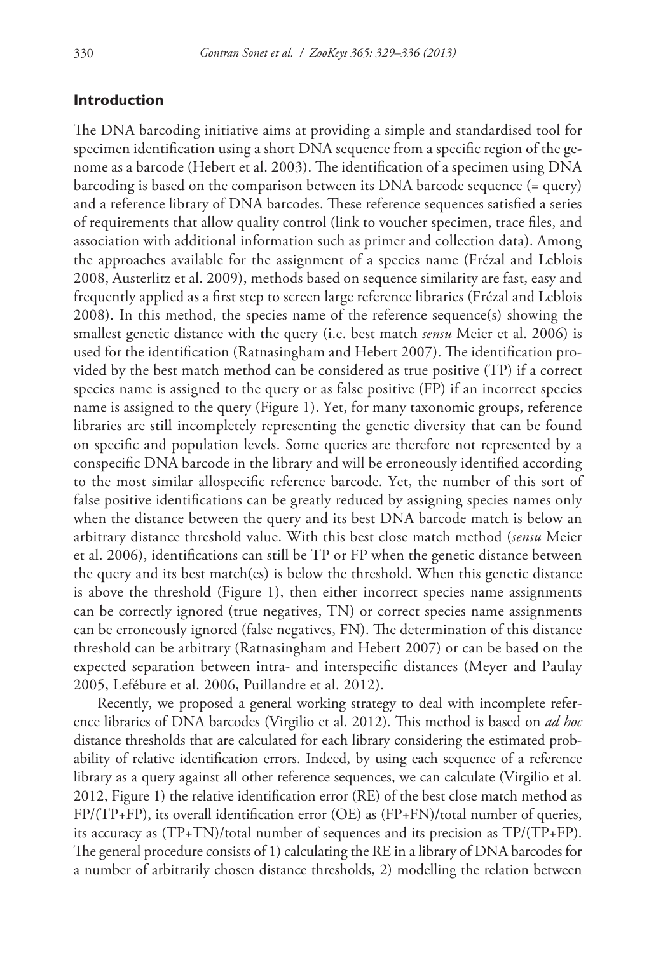#### **Introduction**

The DNA barcoding initiative aims at providing a simple and standardised tool for specimen identification using a short DNA sequence from a specific region of the genome as a barcode (Hebert et al. 2003). The identification of a specimen using DNA barcoding is based on the comparison between its DNA barcode sequence (= query) and a reference library of DNA barcodes. These reference sequences satisfied a series of requirements that allow quality control (link to voucher specimen, trace files, and association with additional information such as primer and collection data). Among the approaches available for the assignment of a species name (Frézal and Leblois 2008, Austerlitz et al. 2009), methods based on sequence similarity are fast, easy and frequently applied as a first step to screen large reference libraries (Frézal and Leblois 2008). In this method, the species name of the reference sequence(s) showing the smallest genetic distance with the query (i.e. best match *sensu* Meier et al. 2006) is used for the identification (Ratnasingham and Hebert 2007). The identification provided by the best match method can be considered as true positive (TP) if a correct species name is assigned to the query or as false positive (FP) if an incorrect species name is assigned to the query (Figure 1). Yet, for many taxonomic groups, reference libraries are still incompletely representing the genetic diversity that can be found on specific and population levels. Some queries are therefore not represented by a conspecific DNA barcode in the library and will be erroneously identified according to the most similar allospecific reference barcode. Yet, the number of this sort of false positive identifications can be greatly reduced by assigning species names only when the distance between the query and its best DNA barcode match is below an arbitrary distance threshold value. With this best close match method (*sensu* Meier et al. 2006), identifications can still be TP or FP when the genetic distance between the query and its best match(es) is below the threshold. When this genetic distance is above the threshold (Figure 1), then either incorrect species name assignments can be correctly ignored (true negatives, TN) or correct species name assignments can be erroneously ignored (false negatives, FN). The determination of this distance threshold can be arbitrary (Ratnasingham and Hebert 2007) or can be based on the expected separation between intra- and interspecific distances (Meyer and Paulay 2005, Lefébure et al. 2006, Puillandre et al. 2012).

Recently, we proposed a general working strategy to deal with incomplete reference libraries of DNA barcodes (Virgilio et al. 2012). This method is based on *ad hoc* distance thresholds that are calculated for each library considering the estimated probability of relative identification errors. Indeed, by using each sequence of a reference library as a query against all other reference sequences, we can calculate (Virgilio et al. 2012, Figure 1) the relative identification error (RE) of the best close match method as FP/(TP+FP), its overall identification error (OE) as (FP+FN)/total number of queries, its accuracy as (TP+TN)/total number of sequences and its precision as TP/(TP+FP). The general procedure consists of 1) calculating the RE in a library of DNA barcodes for a number of arbitrarily chosen distance thresholds, 2) modelling the relation between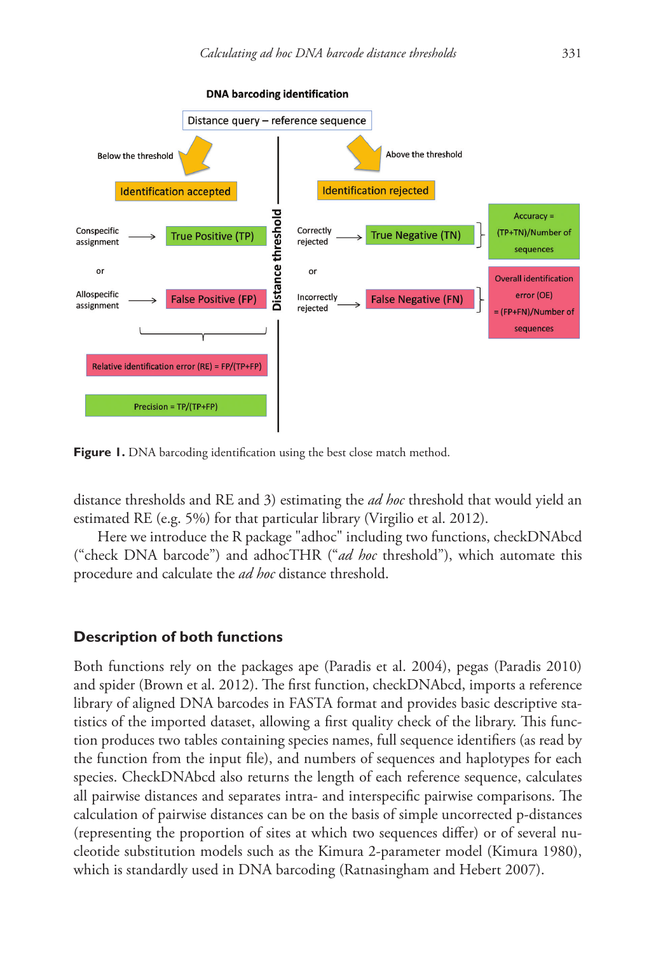

**Figure 1.** DNA barcoding identification using the best close match method.

distance thresholds and RE and 3) estimating the *ad hoc* threshold that would yield an estimated RE (e.g. 5%) for that particular library (Virgilio et al. 2012).

Here we introduce the R package "adhoc" including two functions, checkDNAbcd ("check DNA barcode") and adhocTHR ("*ad hoc* threshold"), which automate this procedure and calculate the *ad hoc* distance threshold.

#### **Description of both functions**

Both functions rely on the packages ape (Paradis et al. 2004), pegas (Paradis 2010) and spider (Brown et al. 2012). The first function, checkDNAbcd, imports a reference library of aligned DNA barcodes in FASTA format and provides basic descriptive statistics of the imported dataset, allowing a first quality check of the library. This function produces two tables containing species names, full sequence identifiers (as read by the function from the input file), and numbers of sequences and haplotypes for each species. CheckDNAbcd also returns the length of each reference sequence, calculates all pairwise distances and separates intra- and interspecific pairwise comparisons. The calculation of pairwise distances can be on the basis of simple uncorrected p-distances (representing the proportion of sites at which two sequences differ) or of several nucleotide substitution models such as the Kimura 2-parameter model (Kimura 1980), which is standardly used in DNA barcoding (Ratnasingham and Hebert 2007).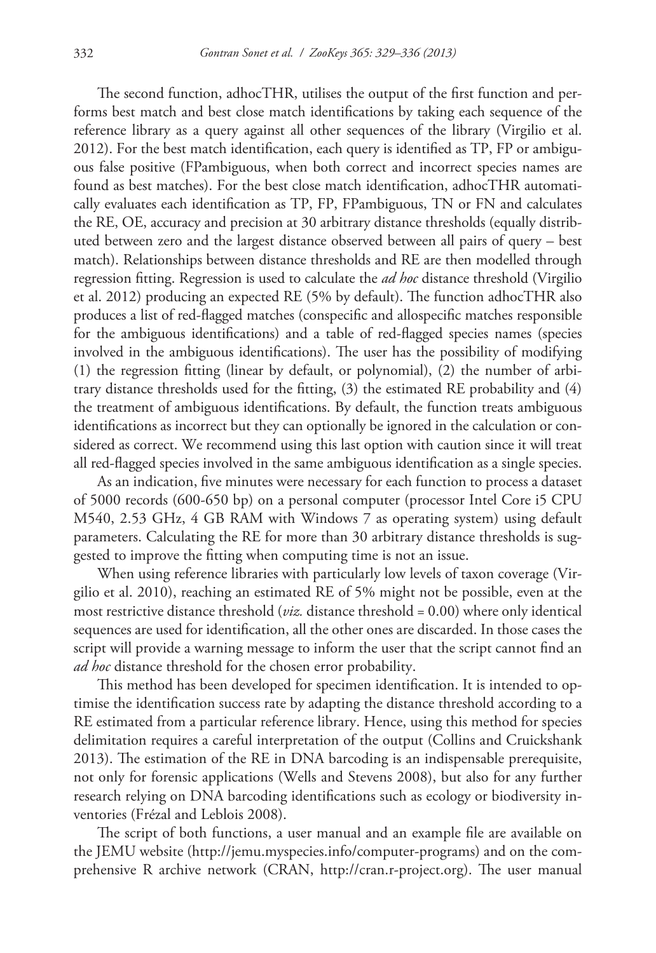The second function, adhocTHR, utilises the output of the first function and performs best match and best close match identifications by taking each sequence of the reference library as a query against all other sequences of the library (Virgilio et al. 2012). For the best match identification, each query is identified as TP, FP or ambiguous false positive (FPambiguous, when both correct and incorrect species names are found as best matches). For the best close match identification, adhocTHR automatically evaluates each identification as TP, FP, FPambiguous, TN or FN and calculates the RE, OE, accuracy and precision at 30 arbitrary distance thresholds (equally distributed between zero and the largest distance observed between all pairs of query – best match). Relationships between distance thresholds and RE are then modelled through regression fitting. Regression is used to calculate the *ad hoc* distance threshold (Virgilio et al. 2012) producing an expected RE (5% by default). The function adhocTHR also produces a list of red-flagged matches (conspecific and allospecific matches responsible for the ambiguous identifications) and a table of red-flagged species names (species involved in the ambiguous identifications). The user has the possibility of modifying (1) the regression fitting (linear by default, or polynomial), (2) the number of arbitrary distance thresholds used for the fitting, (3) the estimated RE probability and (4) the treatment of ambiguous identifications. By default, the function treats ambiguous identifications as incorrect but they can optionally be ignored in the calculation or considered as correct. We recommend using this last option with caution since it will treat all red-flagged species involved in the same ambiguous identification as a single species.

As an indication, five minutes were necessary for each function to process a dataset of 5000 records (600-650 bp) on a personal computer (processor Intel Core i5 CPU M540, 2.53 GHz, 4 GB RAM with Windows 7 as operating system) using default parameters. Calculating the RE for more than 30 arbitrary distance thresholds is suggested to improve the fitting when computing time is not an issue.

When using reference libraries with particularly low levels of taxon coverage (Virgilio et al. 2010), reaching an estimated RE of 5% might not be possible, even at the most restrictive distance threshold ( $viz$ , distance threshold = 0.00) where only identical sequences are used for identification, all the other ones are discarded. In those cases the script will provide a warning message to inform the user that the script cannot find an *ad hoc* distance threshold for the chosen error probability.

This method has been developed for specimen identification. It is intended to optimise the identification success rate by adapting the distance threshold according to a RE estimated from a particular reference library. Hence, using this method for species delimitation requires a careful interpretation of the output (Collins and Cruickshank 2013). The estimation of the RE in DNA barcoding is an indispensable prerequisite, not only for forensic applications (Wells and Stevens 2008), but also for any further research relying on DNA barcoding identifications such as ecology or biodiversity inventories (Frézal and Leblois 2008).

The script of both functions, a user manual and an example file are available on the JEMU website ([http://jemu.myspecies.info/computer-programs\)](http://jemu.myspecies.info/computer-programs) and on the comprehensive R archive network (CRAN, [http://cran.r-project.org\)](http://cran.r-project.org). The user manual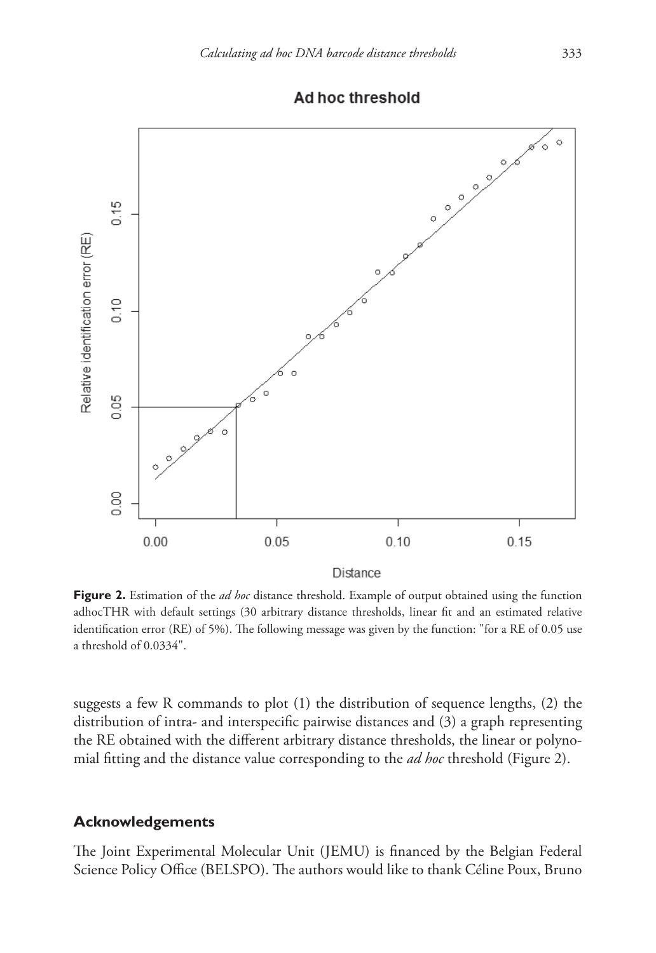

## Ad hoc threshold

**Figure 2.** Estimation of the *ad hoc* distance threshold. Example of output obtained using the function adhocTHR with default settings (30 arbitrary distance thresholds, linear fit and an estimated relative identification error (RE) of 5%). The following message was given by the function: "for a RE of 0.05 use a threshold of 0.0334".

suggests a few R commands to plot (1) the distribution of sequence lengths, (2) the distribution of intra- and interspecific pairwise distances and (3) a graph representing the RE obtained with the different arbitrary distance thresholds, the linear or polynomial fitting and the distance value corresponding to the *ad hoc* threshold (Figure 2).

#### **Acknowledgements**

The Joint Experimental Molecular Unit (JEMU) is financed by the Belgian Federal Science Policy Office (BELSPO). The authors would like to thank Céline Poux, Bruno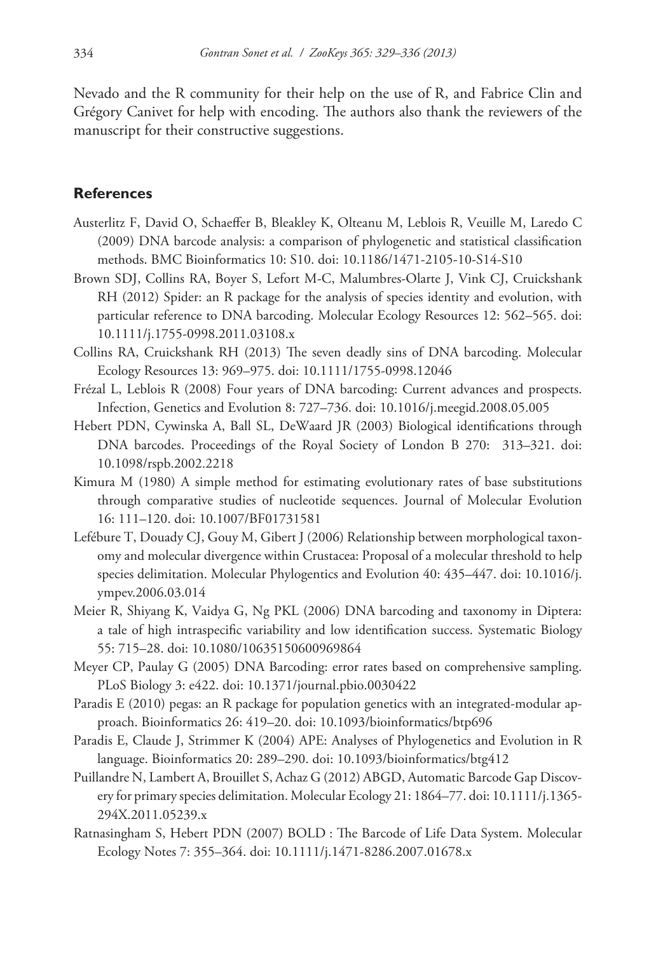Nevado and the R community for their help on the use of R, and Fabrice Clin and Grégory Canivet for help with encoding. The authors also thank the reviewers of the manuscript for their constructive suggestions.

### **References**

- Austerlitz F, David O, Schaeffer B, Bleakley K, Olteanu M, Leblois R, Veuille M, Laredo C (2009) DNA barcode analysis: a comparison of phylogenetic and statistical classification methods. BMC Bioinformatics 10: S10. [doi: 10.1186/1471-2105-10-S14-S10](http://dx.doi.org/10.1186/1471-2105-10-S14-S10)
- Brown SDJ, Collins RA, Boyer S, Lefort M-C, Malumbres-Olarte J, Vink CJ, Cruickshank RH (2012) Spider: an R package for the analysis of species identity and evolution, with particular reference to DNA barcoding. Molecular Ecology Resources 12: 562–565. [doi:](http://dx.doi.org/10.1111/j.1755-0998.2011.03108.x) [10.1111/j.1755-0998.2011.03108.x](http://dx.doi.org/10.1111/j.1755-0998.2011.03108.x)
- Collins RA, Cruickshank RH (2013) The seven deadly sins of DNA barcoding. Molecular Ecology Resources 13: 969–975. [doi: 10.1111/1755-0998.12046](http://dx.doi.org/10.1111/1755-0998.12046)
- Frézal L, Leblois R (2008) Four years of DNA barcoding: Current advances and prospects. Infection, Genetics and Evolution 8: 727–736. [doi: 10.1016/j.meegid.2008.05.005](http://dx.doi.org/10.1016/j.meegid.2008.05.005)
- Hebert PDN, Cywinska A, Ball SL, DeWaard JR (2003) Biological identifications through DNA barcodes. Proceedings of the Royal Society of London B 270: 313–321. [doi:](http://dx.doi.org/10.1098/rspb.2002.2218) [10.1098/rspb.2002.2218](http://dx.doi.org/10.1098/rspb.2002.2218)
- Kimura M (1980) A simple method for estimating evolutionary rates of base substitutions through comparative studies of nucleotide sequences. Journal of Molecular Evolution 16: 111–120. [doi: 10.1007/BF01731581](http://dx.doi.org/10.1007/BF01731581)
- Lefébure T, Douady CJ, Gouy M, Gibert J (2006) Relationship between morphological taxonomy and molecular divergence within Crustacea: Proposal of a molecular threshold to help species delimitation. Molecular Phylogentics and Evolution 40: 435–447. [doi: 10.1016/j.](http://dx.doi.org/10.1016/j.ympev.2006.03.014) [ympev.2006.03.014](http://dx.doi.org/10.1016/j.ympev.2006.03.014)
- Meier R, Shiyang K, Vaidya G, Ng PKL (2006) DNA barcoding and taxonomy in Diptera: a tale of high intraspecific variability and low identification success. Systematic Biology 55: 715–28. [doi: 10.1080/10635150600969864](http://dx.doi.org/10.1080/10635150600969864)
- Meyer CP, Paulay G (2005) DNA Barcoding: error rates based on comprehensive sampling. PLoS Biology 3: e422. [doi: 10.1371/journal.pbio.0030422](http://dx.doi.org/10.1371/journal.pbio.0030422)
- Paradis E (2010) pegas: an R package for population genetics with an integrated-modular approach. Bioinformatics 26: 419–20. [doi: 10.1093/bioinformatics/btp696](http://dx.doi.org/10.1093/bioinformatics/btp696)
- Paradis E, Claude J, Strimmer K (2004) APE: Analyses of Phylogenetics and Evolution in R language. Bioinformatics 20: 289–290. [doi: 10.1093/bioinformatics/btg412](http://dx.doi.org/10.1093/bioinformatics/btg412)
- Puillandre N, Lambert A, Brouillet S, Achaz G (2012) ABGD, Automatic Barcode Gap Discovery for primary species delimitation. Molecular Ecology 21: 1864–77. [doi: 10.1111/j.1365-](http://dx.doi.org/10.1111/j.1365-294X.2011.05239.x) [294X.2011.05239.x](http://dx.doi.org/10.1111/j.1365-294X.2011.05239.x)
- Ratnasingham S, Hebert PDN (2007) BOLD : The Barcode of Life Data System. Molecular Ecology Notes 7: 355–364. [doi: 10.1111/j.1471-8286.2007.01678.x](http://dx.doi.org/10.1111/j.1471-8286.2007.01678.x)